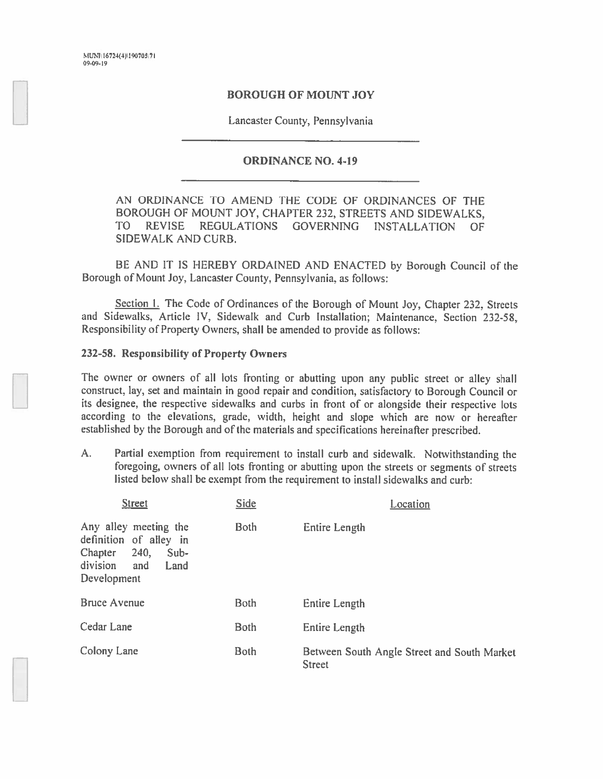MUNI\16724(4)\190705\71 09.09-Ic

## BOROUGH OF MOUNT JOY

Lancaster County. Pennsylvania

## ORDINANCE NO. 4-19

AN ORDINANCE TO AMEND THE CODE OF ORDINANCES OF THE BOROUGH OF MOUNT JOY, CHAPTER 232, STREETS AND SIDEWALKS, TO REVISE REGULATIONS GOVERNING INSTALLATION OF SIDEWALK AND CURB.

BE AND IT IS HEREBY ORDAINED AND ENACTED by Borough Council of the Borough of Mount Joy. Lancaster County. Pennsylvania, as follows:

Section 1. The Code of Ordinances of the Borough of Mount Joy, Chapter 232, Streets and Sidewalks, Article IV, Sidewalk and Curb Installation; Maintenance, Section 232-58, Responsibility of Property Owners, shall be amended to provide as follows:

## 232-58. Responsibility of Property Owners

The owner or owners of all lots fronting or abutting upon any public street or alley shall construct, lay, set and maintain in goo<sup>d</sup> repair and condition, satisfactory to Borough Council or its designee, the respective sidewalks and curbs in front of or alongside their respective lots according to the elevations, grade, width, height and slope which are now or hereafter established by the Borough and of the materials and specifications hereinafter prescribed.

A. Partial exemption from requirement to install curb and sidewalk. Notwithstanding the foregoing, owners of all lots fronting or abutting upon the streets or segments of streets listed below shall be exemp<sup>t</sup> from the requirement to install sidewalks and curb:

| <b>Street</b>                                                                                                          | <b>Side</b> | Location                                                     |
|------------------------------------------------------------------------------------------------------------------------|-------------|--------------------------------------------------------------|
| Any alley meeting the<br>definition of alley in<br>Chapter<br>240,<br>$Sub-$<br>division<br>Land<br>and<br>Development | <b>Both</b> | Entire Length                                                |
| <b>Bruce Avenue</b>                                                                                                    | <b>Both</b> | Entire Length                                                |
| Cedar Lane                                                                                                             | <b>Both</b> | Entire Length                                                |
| Colony Lane                                                                                                            | <b>Both</b> | Between South Angle Street and South Market<br><b>Street</b> |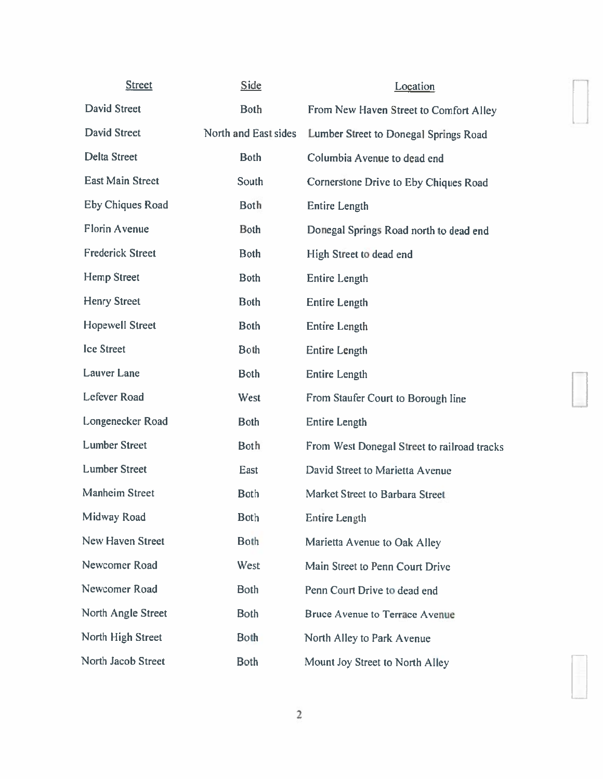| <b>Street</b>           | <b>Side</b>          | Location                                    |
|-------------------------|----------------------|---------------------------------------------|
| <b>David Street</b>     | <b>Both</b>          | From New Haven Street to Comfort Alley      |
| <b>David Street</b>     | North and East sides | Lumber Street to Donegal Springs Road       |
| <b>Delta Street</b>     | <b>Both</b>          | Columbia Avenue to dead end                 |
| <b>East Main Street</b> | South                | Cornerstone Drive to Eby Chiques Road       |
| <b>Eby Chiques Road</b> | <b>Both</b>          | <b>Entire Length</b>                        |
| <b>Florin Avenue</b>    | <b>Both</b>          | Donegal Springs Road north to dead end      |
| <b>Frederick Street</b> | <b>Both</b>          | High Street to dead end                     |
| <b>Hemp Street</b>      | <b>Both</b>          | <b>Entire Length</b>                        |
| <b>Henry Street</b>     | <b>Both</b>          | <b>Entire Length</b>                        |
| <b>Hopewell Street</b>  | <b>Both</b>          | <b>Entire Length</b>                        |
| <b>Ice Street</b>       | <b>Both</b>          | <b>Entire Length</b>                        |
| <b>Lauver</b> Lane      | <b>Both</b>          | <b>Entire Length</b>                        |
| <b>Lefever Road</b>     | West                 | From Staufer Court to Borough line          |
| Longenecker Road        | <b>Both</b>          | <b>Entire Length</b>                        |
| <b>Lumber Street</b>    | <b>Both</b>          | From West Donegal Street to railroad tracks |
| <b>Lumber Street</b>    | East                 | David Street to Marietta Avenue             |
| <b>Manheim Street</b>   | <b>Both</b>          | Market Street to Barbara Street             |
| Midway Road             | <b>Both</b>          | Entire Length                               |
| New Haven Street        | <b>Both</b>          | Marietta Avenue to Oak Alley                |
| Newcomer Road           | West                 | Main Street to Penn Court Drive             |
| Newcomer Road           | <b>Both</b>          | Penn Court Drive to dead end                |
| North Angle Street      | <b>Both</b>          | <b>Bruce Avenue to Terrace Avenue</b>       |
| North High Street       | <b>Both</b>          | North Alley to Park Avenue                  |
| North Jacob Street      | <b>Both</b>          | Mount Joy Street to North Alley             |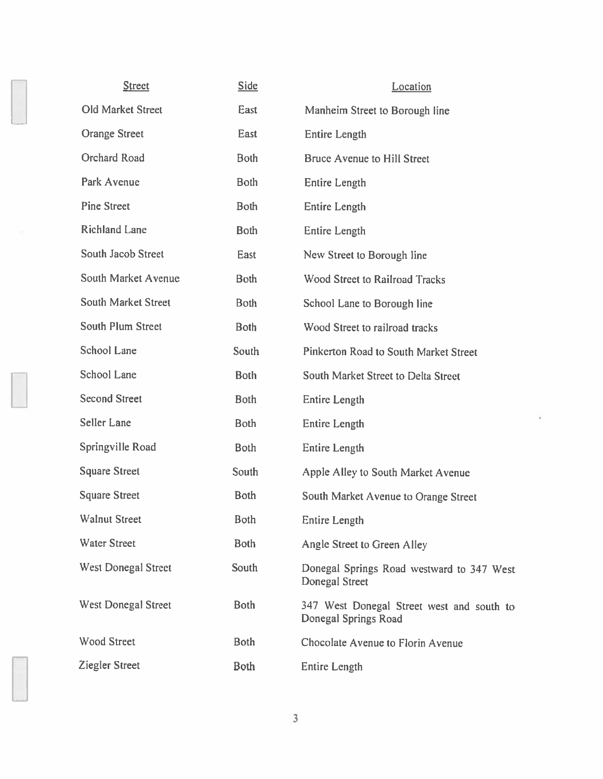| <b>Street</b>              | <b>Side</b> | Location                                                           |
|----------------------------|-------------|--------------------------------------------------------------------|
| <b>Old Market Street</b>   | East        | Manheim Street to Borough line                                     |
| <b>Orange Street</b>       | East        | <b>Entire Length</b>                                               |
| <b>Orchard Road</b>        | <b>Both</b> | <b>Bruce Avenue to Hill Street</b>                                 |
| Park Avenue                | <b>Both</b> | <b>Entire Length</b>                                               |
| <b>Pine Street</b>         | <b>Both</b> | <b>Entire Length</b>                                               |
| <b>Richland Lane</b>       | <b>Both</b> | <b>Entire Length</b>                                               |
| South Jacob Street         | East        | New Street to Borough line                                         |
| South Market Avenue        | <b>Both</b> | <b>Wood Street to Railroad Tracks</b>                              |
| <b>South Market Street</b> | <b>Both</b> | School Lane to Borough line                                        |
| <b>South Plum Street</b>   | <b>Both</b> | Wood Street to railroad tracks                                     |
| <b>School Lane</b>         | South       | Pinkerton Road to South Market Street                              |
| School Lane                | <b>Both</b> | South Market Street to Delta Street                                |
| <b>Second Street</b>       | <b>Both</b> | <b>Entire Length</b>                                               |
| Seller Lane                | <b>Both</b> | <b>Entire Length</b>                                               |
| Springville Road           | <b>Both</b> | <b>Entire Length</b>                                               |
| <b>Square Street</b>       | South       | Apple Alley to South Market Avenue                                 |
| <b>Square Street</b>       | <b>Both</b> | South Market Avenue to Orange Street                               |
| <b>Walnut Street</b>       | <b>Both</b> | Entire Length                                                      |
| <b>Water Street</b>        | <b>Both</b> | Angle Street to Green Alley                                        |
| <b>West Donegal Street</b> | South       | Donegal Springs Road westward to 347 West<br><b>Donegal Street</b> |
| <b>West Donegal Street</b> | <b>Both</b> | 347 West Donegal Street west and south to<br>Donegal Springs Road  |
| <b>Wood Street</b>         | <b>Both</b> | Chocolate Avenue to Florin Avenue                                  |
| <b>Ziegler Street</b>      | <b>Both</b> | <b>Entire Length</b>                                               |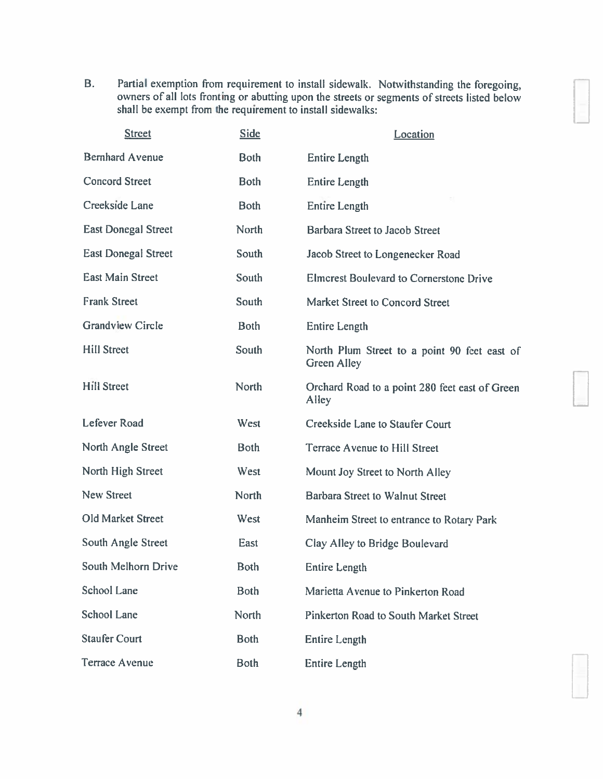B. Partial exemption from requirement to install sidewalk. Notwithstanding the foregoing, owners of all lots fronting or abutting upon the streets or segments of streets listed below shall be exemp<sup>t</sup> from the requirement to install sidewalks:

U

1

U

| <b>Street</b>              | <b>Side</b>  | Location                                                           |
|----------------------------|--------------|--------------------------------------------------------------------|
| <b>Bernhard Avenue</b>     | <b>Both</b>  | <b>Entire Length</b>                                               |
| <b>Concord Street</b>      | <b>Both</b>  | <b>Entire Length</b>                                               |
| Creekside Lane             | <b>Both</b>  | <b>Entire Length</b>                                               |
| <b>East Donegal Street</b> | North        | <b>Barbara Street to Jacob Street</b>                              |
| <b>East Donegal Street</b> | South        | Jacob Street to Longenecker Road                                   |
| <b>East Main Street</b>    | South        | <b>Elmcrest Boulevard to Cornerstone Drive</b>                     |
| <b>Frank Street</b>        | South        | Market Street to Concord Street                                    |
| <b>Grandview Circle</b>    | <b>Both</b>  | <b>Entire Length</b>                                               |
| <b>Hill Street</b>         | South        | North Plum Street to a point 90 feet east of<br><b>Green Alley</b> |
| <b>Hill Street</b>         | <b>North</b> | Orchard Road to a point 280 feet east of Green<br>Alley            |
| Lefever Road               | West         | Creekside Lane to Staufer Court                                    |
| North Angle Street         | <b>Both</b>  | Terrace Avenue to Hill Street                                      |
| North High Street          | West         | Mount Joy Street to North Alley                                    |
| <b>New Street</b>          | <b>North</b> | Barbara Street to Walnut Street                                    |
| Old Market Street          | West         | Manheim Street to entrance to Rotary Park                          |
| <b>South Angle Street</b>  | East         | Clay Alley to Bridge Boulevard                                     |
| South Melhorn Drive        | <b>Both</b>  | Entire Length                                                      |
| <b>School Lane</b>         | <b>Both</b>  | Marietta Avenue to Pinkerton Road                                  |
| <b>School Lane</b>         | North        | <b>Pinkerton Road to South Market Street</b>                       |
| <b>Staufer Court</b>       | <b>Both</b>  | <b>Entire Length</b>                                               |
| <b>Terrace Avenue</b>      | <b>Both</b>  | <b>Entire Length</b>                                               |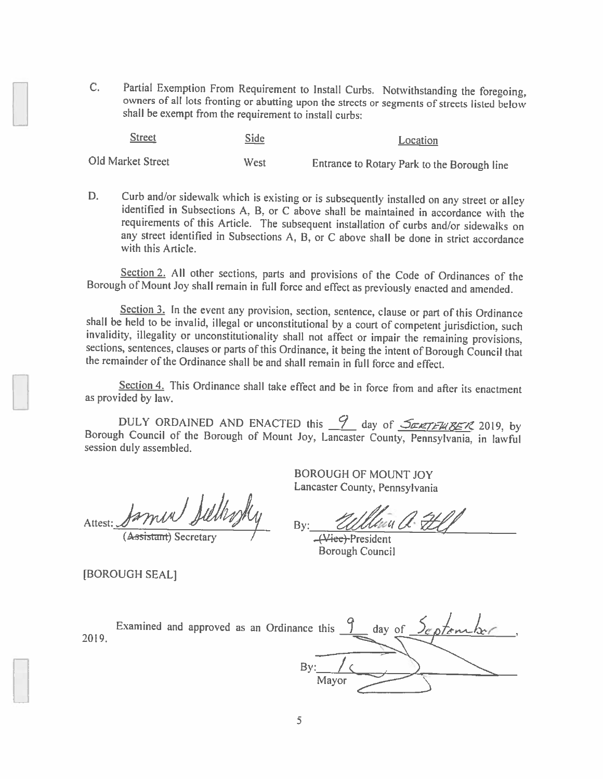C. Partial Exemption From Requirement to Install Curbs. Notwithstanding the foregoing, owners of all lots fronting or abutting upon the streets or segments of streets listed below shall be exempt from the requirement to install curbs:

| <b>Street</b>     | <b>Side</b> | Location                                    |
|-------------------|-------------|---------------------------------------------|
| Old Market Street | West        | Entrance to Rotary Park to the Borough line |

D. Curb and/or sidewalk which is existing or is subsequently installed on any street or alley identified in Subsections A, B, or C above shall be maintained in accordance with the requirements of this Article. The subsequent installation of curbs and/or sidewalks on any street identified in Subsections A, B, or <sup>C</sup> above shall be done in strict accordance with this Article.

Section 2. All other sections, parts and provisions of the Code of Ordinances of the Borough of Mount Joy shall remain in full force and effect as previously enacted and amended.

Section 3. In the event any provision, section, sentence, clause or part of this Ordinance<br>shall be held to be invalid, illegal or unconstitutional by a court of competent jurisdiction, such<br>invalidity, illegality or uncon

Section 4. This Ordinance shall take effect and be in force from and after its enactment as provided by law.

DULY ORDAINED AND ENACTED this  $\frac{9}{2}$  day of  $\frac{\sqrt{2\pi kT F k B S T}}{2019}$ , by Borough Council of the Borough of Mount Joy, Lancaster County, Pennsylvania, in lawful session duly assembled.

[BOROUGH SEAL]

BOROUGH OF MOUNT JOY Lancaster County, Pennsylvania

Attest: <u>Jackness</u> Burney . By: Ulllewill Helf

Borough Council

Examined and approved as an Ordinance this  $\int$  day of 2019. By:  $\angle$   $\angle$ 

Mayor